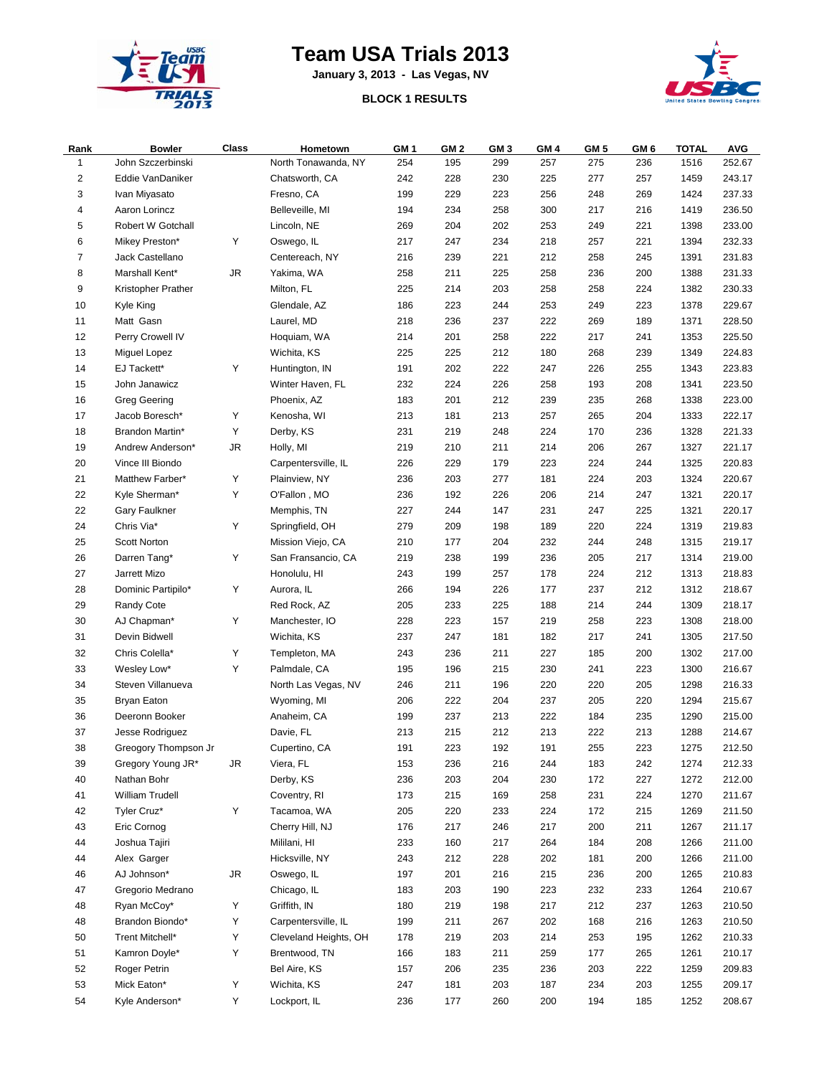

## **Team USA Trials 2013**

**January 3, 2013 - Las Vegas, NV**

## **BLOCK 1 RESULTS**



| Rank           | <b>Bowler</b>        | Class     | Hometown              | GM 1 | GM <sub>2</sub> | GM 3 | GM <sub>4</sub> | GM 5 | GM 6 | <b>TOTAL</b> | <b>AVG</b> |
|----------------|----------------------|-----------|-----------------------|------|-----------------|------|-----------------|------|------|--------------|------------|
| 1              | John Szczerbinski    |           | North Tonawanda, NY   | 254  | 195             | 299  | 257             | 275  | 236  | 1516         | 252.67     |
| $\sqrt{2}$     | Eddie VanDaniker     |           | Chatsworth, CA        | 242  | 228             | 230  | 225             | 277  | 257  | 1459         | 243.17     |
| 3              | Ivan Miyasato        |           | Fresno, CA            | 199  | 229             | 223  | 256             | 248  | 269  | 1424         | 237.33     |
| 4              | Aaron Lorincz        |           | Belleveille, MI       | 194  | 234             | 258  | 300             | 217  | 216  | 1419         | 236.50     |
| 5              | Robert W Gotchall    |           | Lincoln, NE           | 269  | 204             | 202  | 253             | 249  | 221  | 1398         | 233.00     |
| 6              | Mikey Preston*       | Υ         | Oswego, IL            | 217  | 247             | 234  | 218             | 257  | 221  | 1394         | 232.33     |
| $\overline{7}$ | Jack Castellano      |           | Centereach, NY        | 216  | 239             | 221  | 212             | 258  | 245  | 1391         | 231.83     |
| 8              | Marshall Kent*       | JR        | Yakima, WA            | 258  | 211             | 225  | 258             | 236  | 200  | 1388         | 231.33     |
| 9              | Kristopher Prather   |           | Milton, FL            | 225  | 214             | 203  | 258             | 258  | 224  | 1382         | 230.33     |
| 10             | Kyle King            |           | Glendale, AZ          | 186  | 223             | 244  | 253             | 249  | 223  | 1378         | 229.67     |
| 11             | Matt Gasn            |           | Laurel, MD            | 218  | 236             | 237  | 222             | 269  | 189  | 1371         | 228.50     |
| 12             | Perry Crowell IV     |           | Hoquiam, WA           | 214  | 201             | 258  | 222             | 217  | 241  | 1353         | 225.50     |
| 13             | Miguel Lopez         |           | Wichita, KS           | 225  | 225             | 212  | 180             | 268  | 239  | 1349         | 224.83     |
| 14             | EJ Tackett*          | Υ         | Huntington, IN        | 191  | 202             | 222  | 247             | 226  | 255  | 1343         | 223.83     |
| 15             | John Janawicz        |           | Winter Haven, FL      | 232  | 224             | 226  | 258             | 193  | 208  | 1341         | 223.50     |
| 16             | <b>Greg Geering</b>  |           | Phoenix, AZ           | 183  | 201             | 212  | 239             | 235  | 268  | 1338         | 223.00     |
| 17             | Jacob Boresch*       | Υ         | Kenosha, WI           | 213  | 181             | 213  | 257             | 265  | 204  | 1333         | 222.17     |
| 18             | Brandon Martin*      | Υ         | Derby, KS             | 231  | 219             | 248  | 224             | 170  | 236  | 1328         | 221.33     |
| 19             | Andrew Anderson*     | <b>JR</b> | Holly, MI             | 219  | 210             | 211  | 214             | 206  | 267  | 1327         | 221.17     |
| 20             | Vince III Biondo     |           | Carpentersville, IL   | 226  | 229             | 179  | 223             | 224  | 244  | 1325         | 220.83     |
| 21             |                      | Y         |                       |      | 203             |      |                 | 224  |      |              | 220.67     |
|                | Matthew Farber*      | Υ         | Plainview, NY         | 236  |                 | 277  | 181             |      | 203  | 1324         |            |
| 22             | Kyle Sherman*        |           | O'Fallon, MO          | 236  | 192             | 226  | 206             | 214  | 247  | 1321         | 220.17     |
| 22             | <b>Gary Faulkner</b> |           | Memphis, TN           | 227  | 244             | 147  | 231             | 247  | 225  | 1321         | 220.17     |
| 24             | Chris Via*           | Y         | Springfield, OH       | 279  | 209             | 198  | 189             | 220  | 224  | 1319         | 219.83     |
| 25             | Scott Norton         |           | Mission Viejo, CA     | 210  | 177             | 204  | 232             | 244  | 248  | 1315         | 219.17     |
| 26             | Darren Tang*         | Υ         | San Fransancio, CA    | 219  | 238             | 199  | 236             | 205  | 217  | 1314         | 219.00     |
| 27             | Jarrett Mizo         |           | Honolulu, HI          | 243  | 199             | 257  | 178             | 224  | 212  | 1313         | 218.83     |
| 28             | Dominic Partipilo*   | Y         | Aurora, IL            | 266  | 194             | 226  | 177             | 237  | 212  | 1312         | 218.67     |
| 29             | Randy Cote           |           | Red Rock, AZ          | 205  | 233             | 225  | 188             | 214  | 244  | 1309         | 218.17     |
| 30             | AJ Chapman*          | Y         | Manchester, IO        | 228  | 223             | 157  | 219             | 258  | 223  | 1308         | 218.00     |
| 31             | Devin Bidwell        |           | Wichita, KS           | 237  | 247             | 181  | 182             | 217  | 241  | 1305         | 217.50     |
| 32             | Chris Colella*       | Υ         | Templeton, MA         | 243  | 236             | 211  | 227             | 185  | 200  | 1302         | 217.00     |
| 33             | Wesley Low*          | Y         | Palmdale, CA          | 195  | 196             | 215  | 230             | 241  | 223  | 1300         | 216.67     |
| 34             | Steven Villanueva    |           | North Las Vegas, NV   | 246  | 211             | 196  | 220             | 220  | 205  | 1298         | 216.33     |
| 35             | Bryan Eaton          |           | Wyoming, MI           | 206  | 222             | 204  | 237             | 205  | 220  | 1294         | 215.67     |
| 36             | Deeronn Booker       |           | Anaheim, CA           | 199  | 237             | 213  | 222             | 184  | 235  | 1290         | 215.00     |
| 37             | Jesse Rodriguez      |           | Davie, FL             | 213  | 215             | 212  | 213             | 222  | 213  | 1288         | 214.67     |
| 38             | Greogory Thompson Jr |           | Cupertino, CA         | 191  | 223             | 192  | 191             | 255  | 223  | 1275         | 212.50     |
| 39             | Gregory Young JR*    | JR        | Viera, FL             | 153  | 236             | 216  | 244             | 183  | 242  | 1274         | 212.33     |
| 40             | Nathan Bohr          |           | Derby, KS             | 236  | 203             | 204  | 230             | 172  | 227  | 1272         | 212.00     |
| 41             | William Trudell      |           | Coventry, RI          | 173  | 215             | 169  | 258             | 231  | 224  | 1270         | 211.67     |
| 42             | Tyler Cruz*          | Υ         | Tacamoa, WA           | 205  | 220             | 233  | 224             | 172  | 215  | 1269         | 211.50     |
| 43             | Eric Cornog          |           | Cherry Hill, NJ       | 176  | 217             | 246  | 217             | 200  | 211  | 1267         | 211.17     |
| 44             | Joshua Tajiri        |           | Mililani, HI          | 233  | 160             | 217  | 264             | 184  | 208  | 1266         | 211.00     |
| 44             | Alex Garger          |           | Hicksville, NY        | 243  | 212             | 228  | 202             | 181  | 200  | 1266         | 211.00     |
| 46             | AJ Johnson*          | JR        | Oswego, IL            | 197  | 201             | 216  | 215             | 236  | 200  | 1265         | 210.83     |
| 47             | Gregorio Medrano     |           | Chicago, IL           | 183  | 203             | 190  | 223             | 232  | 233  | 1264         | 210.67     |
| 48             | Ryan McCoy*          | Y         | Griffith, IN          | 180  | 219             | 198  | 217             | 212  | 237  | 1263         | 210.50     |
| 48             | Brandon Biondo*      | Υ         | Carpentersville, IL   | 199  | 211             | 267  | 202             | 168  | 216  | 1263         | 210.50     |
| 50             | Trent Mitchell*      | Υ         | Cleveland Heights, OH | 178  | 219             | 203  | 214             | 253  | 195  | 1262         | 210.33     |
| 51             | Kamron Doyle*        | Y         | Brentwood, TN         | 166  | 183             | 211  | 259             | 177  | 265  | 1261         | 210.17     |
| 52             | Roger Petrin         |           | Bel Aire, KS          | 157  | 206             | 235  | 236             | 203  | 222  | 1259         | 209.83     |
| 53             | Mick Eaton*          | Y         | Wichita, KS           | 247  | 181             | 203  | 187             | 234  | 203  | 1255         | 209.17     |
| 54             | Kyle Anderson*       | Υ         | Lockport, IL          | 236  | 177             | 260  | 200             | 194  | 185  | 1252         | 208.67     |
|                |                      |           |                       |      |                 |      |                 |      |      |              |            |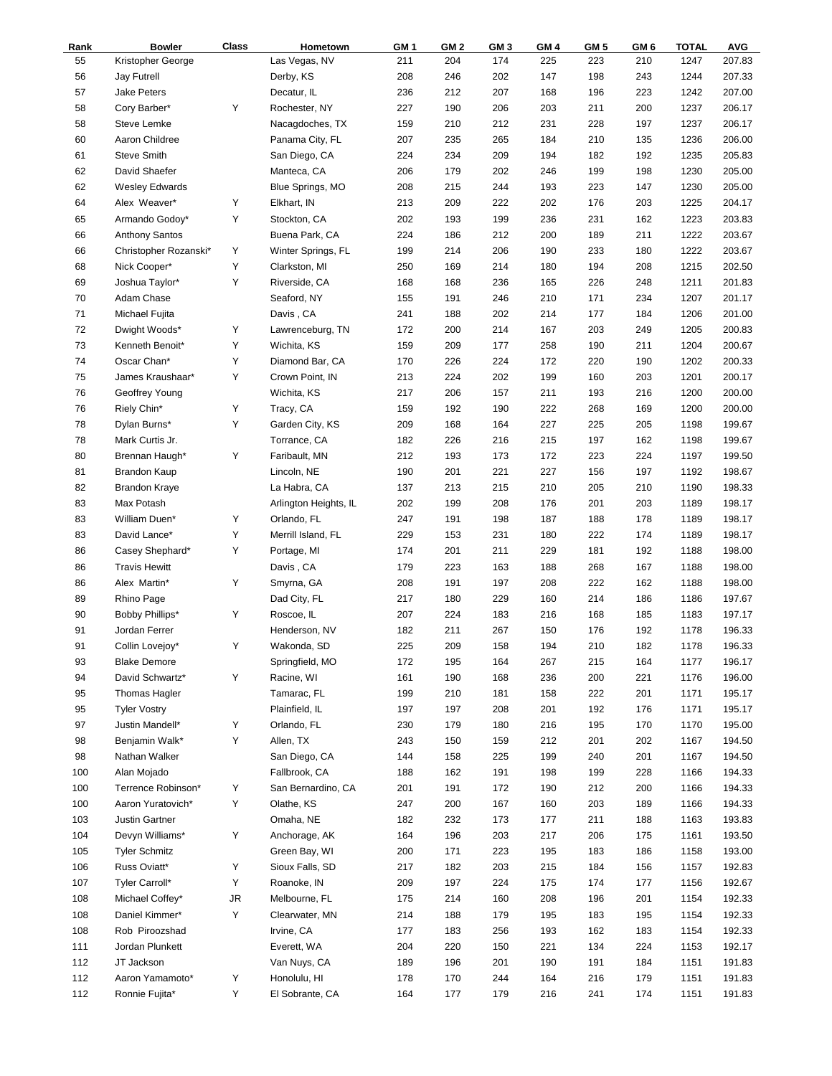| Rank | <b>Bowler</b>         | Class | Hometown              | GM 1 | GM <sub>2</sub> | GM 3       | GM <sub>4</sub> | GM <sub>5</sub> | GM 6 | <b>TOTAL</b> | <b>AVG</b> |
|------|-----------------------|-------|-----------------------|------|-----------------|------------|-----------------|-----------------|------|--------------|------------|
| 55   | Kristopher George     |       | Las Vegas, NV         | 211  | 204             | 174        | 225             | 223             | 210  | 1247         | 207.83     |
| 56   | <b>Jay Futrell</b>    |       | Derby, KS             | 208  | 246             | 202        | 147             | 198             | 243  | 1244         | 207.33     |
| 57   | <b>Jake Peters</b>    |       | Decatur, IL           | 236  | 212             | 207        | 168             | 196             | 223  | 1242         | 207.00     |
| 58   | Cory Barber*          | Υ     | Rochester, NY         | 227  | 190             | 206        | 203             | 211             | 200  | 1237         | 206.17     |
| 58   | Steve Lemke           |       | Nacagdoches, TX       | 159  | 210             | 212        | 231             | 228             | 197  | 1237         | 206.17     |
| 60   | Aaron Childree        |       | Panama City, FL       | 207  | 235             | 265        | 184             | 210             | 135  | 1236         | 206.00     |
| 61   | <b>Steve Smith</b>    |       | San Diego, CA         | 224  | 234             | 209        | 194             | 182             | 192  | 1235         | 205.83     |
| 62   | David Shaefer         |       | Manteca, CA           | 206  | 179             | 202        | 246             | 199             | 198  | 1230         | 205.00     |
| 62   | <b>Wesley Edwards</b> |       | Blue Springs, MO      | 208  | 215             | 244        | 193             | 223             | 147  | 1230         | 205.00     |
| 64   | Alex Weaver*          | Υ     | Elkhart, IN           | 213  | 209             | 222        | 202             | 176             | 203  | 1225         | 204.17     |
| 65   | Armando Godoy*        | Y     | Stockton, CA          | 202  | 193             | 199        | 236             | 231             | 162  | 1223         | 203.83     |
| 66   | Anthony Santos        |       | Buena Park, CA        | 224  | 186             | 212        | 200             | 189             | 211  | 1222         | 203.67     |
| 66   | Christopher Rozanski* | Υ     | Winter Springs, FL    | 199  | 214             | 206        | 190             | 233             | 180  | 1222         | 203.67     |
| 68   | Nick Cooper*          | Y     | Clarkston, MI         | 250  | 169             | 214        | 180             | 194             | 208  | 1215         | 202.50     |
| 69   | Joshua Taylor*        | Υ     | Riverside, CA         | 168  | 168             | 236        | 165             | 226             | 248  | 1211         | 201.83     |
| 70   | Adam Chase            |       | Seaford, NY           | 155  | 191             | 246        | 210             | 171             | 234  | 1207         | 201.17     |
| 71   | Michael Fujita        |       | Davis, CA             | 241  | 188             | 202        | 214             | 177             | 184  | 1206         | 201.00     |
| 72   | Dwight Woods*         | Υ     | Lawrenceburg, TN      | 172  | 200             | 214        | 167             | 203             | 249  | 1205         | 200.83     |
| 73   | Kenneth Benoit*       | Y     | Wichita, KS           | 159  | 209             | 177        | 258             | 190             | 211  | 1204         | 200.67     |
| 74   | Oscar Chan*           | Y     | Diamond Bar, CA       | 170  | 226             | 224        | 172             | 220             | 190  | 1202         | 200.33     |
| 75   | James Kraushaar*      | Υ     | Crown Point, IN       | 213  | 224             | 202        | 199             | 160             | 203  | 1201         | 200.17     |
| 76   | Geoffrey Young        |       | Wichita, KS           | 217  | 206             | 157        | 211             | 193             | 216  | 1200         | 200.00     |
| 76   | Riely Chin*           | Υ     | Tracy, CA             | 159  | 192             | 190        | 222             | 268             | 169  | 1200         | 200.00     |
| 78   | Dylan Burns*          | Y     | Garden City, KS       | 209  | 168             | 164        | 227             | 225             | 205  | 1198         | 199.67     |
| 78   | Mark Curtis Jr.       |       | Torrance, CA          | 182  | 226             | 216        | 215             | 197             | 162  | 1198         | 199.67     |
| 80   |                       | Y     | Faribault, MN         | 212  | 193             |            | 172             |                 | 224  |              | 199.50     |
| 81   | Brennan Haugh*        |       |                       | 190  | 201             | 173<br>221 | 227             | 223<br>156      | 197  | 1197<br>1192 | 198.67     |
|      | Brandon Kaup          |       | Lincoln, NE           |      |                 |            | 210             |                 |      |              | 198.33     |
| 82   | <b>Brandon Kraye</b>  |       | La Habra, CA          | 137  | 213             | 215        |                 | 205             | 210  | 1190         |            |
| 83   | Max Potash            |       | Arlington Heights, IL | 202  | 199             | 208        | 176             | 201             | 203  | 1189         | 198.17     |
| 83   | William Duen*         | Υ     | Orlando, FL           | 247  | 191             | 198        | 187             | 188             | 178  | 1189         | 198.17     |
| 83   | David Lance*          | Y     | Merrill Island, FL    | 229  | 153             | 231        | 180             | 222             | 174  | 1189         | 198.17     |
| 86   | Casey Shephard*       | Y     | Portage, MI           | 174  | 201             | 211        | 229             | 181             | 192  | 1188         | 198.00     |
| 86   | <b>Travis Hewitt</b>  |       | Davis, CA             | 179  | 223             | 163        | 188             | 268             | 167  | 1188         | 198.00     |
| 86   | Alex Martin*          | Υ     | Smyrna, GA            | 208  | 191             | 197        | 208             | 222             | 162  | 1188         | 198.00     |
| 89   | Rhino Page            |       | Dad City, FL          | 217  | 180             | 229        | 160             | 214             | 186  | 1186         | 197.67     |
| 90   | Bobby Phillips*       | Υ     | Roscoe, IL            | 207  | 224             | 183        | 216             | 168             | 185  | 1183         | 197.17     |
| 91   | Jordan Ferrer         |       | Henderson, NV         | 182  | 211             | 267        | 150             | 176             | 192  | 1178         | 196.33     |
| 91   | Collin Lovejoy*       | Υ     | Wakonda, SD           | 225  | 209             | 158        | 194             | 210             | 182  | 1178         | 196.33     |
| 93   | <b>Blake Demore</b>   |       | Springfield, MO       | 172  | 195             | 164        | 267             | 215             | 164  | 1177         | 196.17     |
| 94   | David Schwartz*       | Υ     | Racine, WI            | 161  | 190             | 168        | 236             | 200             | 221  | 1176         | 196.00     |
| 95   | Thomas Hagler         |       | Tamarac, FL           | 199  | 210             | 181        | 158             | 222             | 201  | 1171         | 195.17     |
| 95   | <b>Tyler Vostry</b>   |       | Plainfield, IL        | 197  | 197             | 208        | 201             | 192             | 176  | 1171         | 195.17     |
| 97   | Justin Mandell*       | Y     | Orlando, FL           | 230  | 179             | 180        | 216             | 195             | 170  | 1170         | 195.00     |
| 98   | Benjamin Walk*        | Y     | Allen, TX             | 243  | 150             | 159        | 212             | 201             | 202  | 1167         | 194.50     |
| 98   | Nathan Walker         |       | San Diego, CA         | 144  | 158             | 225        | 199             | 240             | 201  | 1167         | 194.50     |
| 100  | Alan Mojado           |       | Fallbrook, CA         | 188  | 162             | 191        | 198             | 199             | 228  | 1166         | 194.33     |
| 100  | Terrence Robinson*    | Υ     | San Bernardino, CA    | 201  | 191             | 172        | 190             | 212             | 200  | 1166         | 194.33     |
| 100  | Aaron Yuratovich*     | Y     | Olathe, KS            | 247  | 200             | 167        | 160             | 203             | 189  | 1166         | 194.33     |
| 103  | Justin Gartner        |       | Omaha, NE             | 182  | 232             | 173        | 177             | 211             | 188  | 1163         | 193.83     |
| 104  | Devyn Williams*       | Υ     | Anchorage, AK         | 164  | 196             | 203        | 217             | 206             | 175  | 1161         | 193.50     |
| 105  | <b>Tyler Schmitz</b>  |       | Green Bay, WI         | 200  | 171             | 223        | 195             | 183             | 186  | 1158         | 193.00     |
| 106  | Russ Oviatt*          | Υ     | Sioux Falls, SD       | 217  | 182             | 203        | 215             | 184             | 156  | 1157         | 192.83     |
| 107  | Tyler Carroll*        | Y     | Roanoke, IN           | 209  | 197             | 224        | 175             | 174             | 177  | 1156         | 192.67     |
| 108  | Michael Coffey*       | JR    | Melbourne, FL         | 175  | 214             | 160        | 208             | 196             | 201  | 1154         | 192.33     |
| 108  | Daniel Kimmer*        | Y     | Clearwater, MN        | 214  | 188             | 179        | 195             | 183             | 195  | 1154         | 192.33     |
| 108  | Rob Piroozshad        |       | Irvine, CA            | 177  | 183             | 256        | 193             | 162             | 183  | 1154         | 192.33     |
| 111  | Jordan Plunkett       |       | Everett, WA           | 204  | 220             | 150        | 221             | 134             | 224  | 1153         | 192.17     |
| 112  | JT Jackson            |       | Van Nuys, CA          | 189  | 196             | 201        | 190             | 191             | 184  | 1151         | 191.83     |
| 112  | Aaron Yamamoto*       | Υ     | Honolulu, HI          | 178  | 170             | 244        | 164             | 216             | 179  | 1151         | 191.83     |
| 112  | Ronnie Fujita*        | Υ     | El Sobrante, CA       | 164  | 177             | 179        | 216             | 241             | 174  | 1151         | 191.83     |
|      |                       |       |                       |      |                 |            |                 |                 |      |              |            |